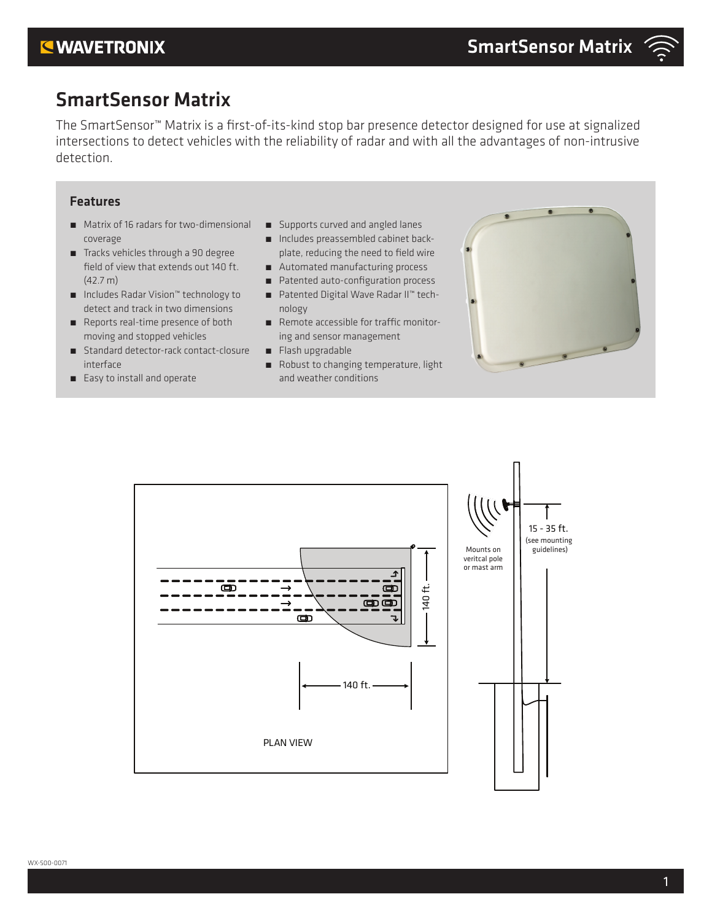## **KWAVETRONIX**

## SmartSensor Matrix

The SmartSensor™ Matrix is a first-of-its-kind stop bar presence detector designed for use at signalized intersections to detect vehicles with the reliability of radar and with all the advantages of non-intrusive detection.

### Features

- Matrix of 16 radars for two-dimensional coverage
- Tracks vehicles through a 90 degree field of view that extends out 140 ft. (42.7 m)
- ˿ Includes Radar Vision™ technology to detect and track in two dimensions
- Reports real-time presence of both moving and stopped vehicles
- Standard detector-rack contact-closure interface
- Easy to install and operate
- Supports curved and angled lanes
- Includes preassembled cabinet backplate, reducing the need to field wire
- Automated manufacturing process
- Patented auto-configuration process
- Patented Digital Wave Radar II™ technology
- Remote accessible for traffic monitoring and sensor management
- Flash upgradable
- Robust to changing temperature, light and weather conditions



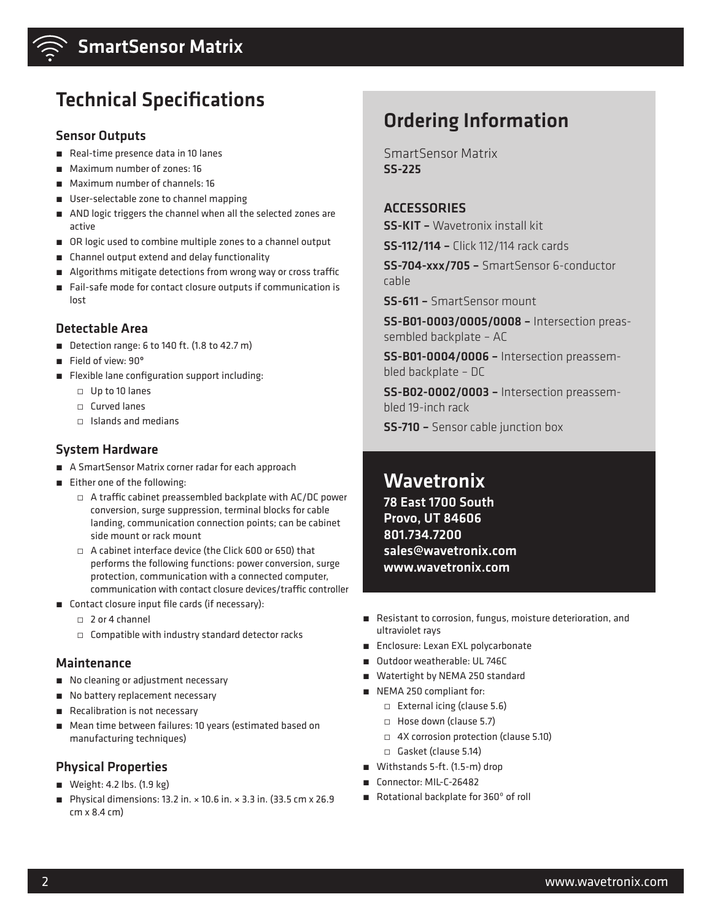

## SmartSensor Matrix

# Technical Specifications

#### Sensor Outputs

- Real-time presence data in 10 lanes
- Maximum number of zones: 16
- Maximum number of channels: 16
- User-selectable zone to channel mapping
- AND logic triggers the channel when all the selected zones are active
- OR logic used to combine multiple zones to a channel output
- Channel output extend and delay functionality
- Algorithms mitigate detections from wrong way or cross traffic
- Fail-safe mode for contact closure outputs if communication is lost

### Detectable Area

- Detection range: 6 to 140 ft. (1.8 to 42.7 m)
- Field of view: 90°
- Flexible lane configuration support including:
	- ̀ Up to 10 lanes
	- ̀ Curved lanes
	- ̀ Islands and medians

### System Hardware

- A SmartSensor Matrix corner radar for each approach
- Either one of the following:
	- $\Box$  A traffic cabinet preassembled backplate with AC/DC power conversion, surge suppression, terminal blocks for cable landing, communication connection points; can be cabinet side mount or rack mount
	- $\Box$  A cabinet interface device (the Click 600 or 650) that performs the following functions: power conversion, surge protection, communication with a connected computer, communication with contact closure devices/traffic controller
- Contact closure input file cards (if necessary):
	- ̀ 2 or 4 channel
	- $\Box$  Compatible with industry standard detector racks

#### Maintenance

- No cleaning or adjustment necessary
- No battery replacement necessary
- Recalibration is not necessary
- Mean time between failures: 10 years (estimated based on manufacturing techniques)

#### Physical Properties

- Weight: 4.2 lbs. (1.9 kg)
- $\blacksquare$  Physical dimensions: 13.2 in.  $\times$  10.6 in.  $\times$  3.3 in. (33.5 cm  $\times$  26.9 cm x 8.4 cm)

# Ordering Information

SmartSensor Matrix SS-225

### **ACCESSORIES**

SS-KIT – Wavetronix install kit

SS-112/114 – Click 112/114 rack cards

SS-704-xxx/705 – SmartSensor 6-conductor cable

SS-611 – SmartSensor mount

SS-B01-0003/0005/0008 – Intersection preassembled backplate – AC

SS-B01-0004/0006 – Intersection preassembled backplate – DC

SS-B02-0002/0003 – Intersection preassembled 19-inch rack

SS-710 – Sensor cable junction box

## **Wavetronix**

78 East 1700 South Provo, UT 84606 801.734.7200 sales@wavetronix.com www.wavetronix.com

- Resistant to corrosion, fungus, moisture deterioration, and ultraviolet rays
- Enclosure: Lexan EXL polycarbonate
- Outdoor weatherable: UL 746C
- Watertight by NEMA 250 standard
- NEMA 250 compliant for:
	- $\Box$  External icing (clause 5.6)
	- □ Hose down (clause 5.7)
	- ̀ 4X corrosion protection (clause 5.10)
	- $\Box$  Gasket (clause 5.14)
- Withstands 5-ft. (1.5-m) drop
- Connector: MIL-C-26482
- Rotational backplate for 360° of roll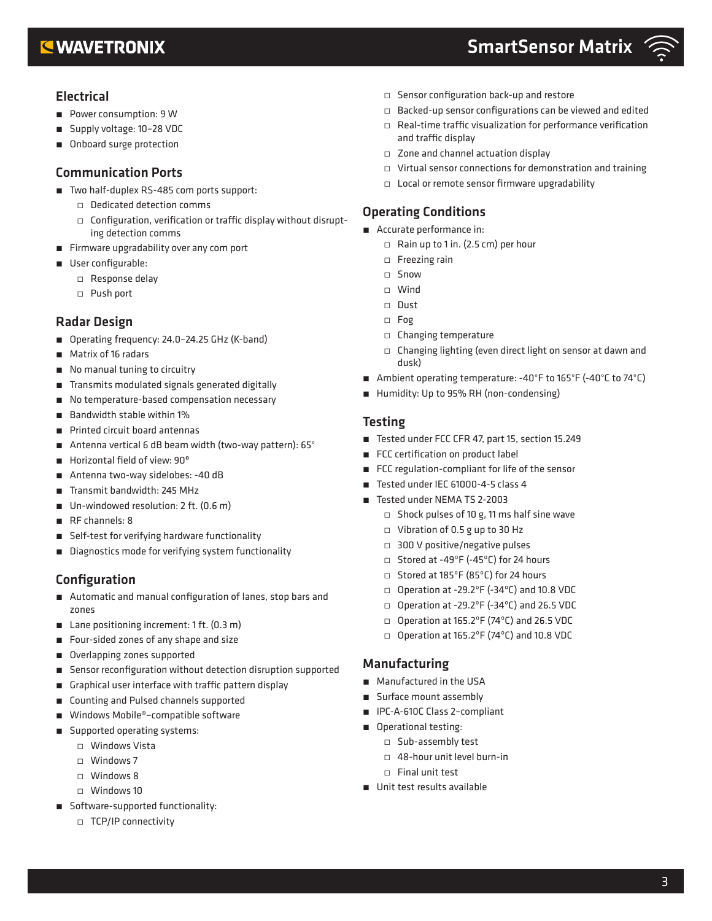## **EWAVETRONIX**

## SmartSensor Matrix



### Electrical

- Power consumption: 9 W
- Supply voltage: 10-28 VDC
- Onboard surge protection

### Communication Ports

- Two half-duplex RS-485 com ports support:
	- ̀ Dedicated detection comms
	- ̀ Configuration, verification or traffic display without disrupting detection comms
- Firmware upgradability over any com port
- User configurable:
	- ̀ Response delay
	- ̀ Push port

## Radar Design

- Operating frequency: 24.0-24.25 GHz (K-band)
- Matrix of 16 radars
- No manual tuning to circuitry
- Transmits modulated signals generated digitally
- No temperature-based compensation necessary
- Bandwidth stable within 1%
- Printed circuit board antennas
- Antenna vertical 6 dB beam width (two-way pattern): 65°
- Horizontal field of view: 90°
- Antenna two-way sidelobes: -40 dB
- Transmit bandwidth: 245 MHz
- Un-windowed resolution: 2 ft. (0.6 m)
- RF channels: 8
- Self-test for verifying hardware functionality
- Diagnostics mode for verifying system functionality

## Configuration

- Automatic and manual configuration of lanes, stop bars and zones
- Lane positioning increment: 1 ft. (0.3 m)
- Four-sided zones of any shape and size
- Overlapping zones supported
- Sensor reconfiguration without detection disruption supported
- Graphical user interface with traffic pattern display
- Counting and Pulsed channels supported
- Windows Mobile®-compatible software
- Supported operating systems:
	- ̀ Windows Vista
	- ̀ Windows 7
	- ̀ Windows 8
	- ̀ Windows 10
- Software-supported functionality:
	- ̀ TCP/IP connectivity
- ̀ Sensor configuration back-up and restore
- ̀ Backed-up sensor configurations can be viewed and edited
- $\Box$  Real-time traffic visualization for performance verification and traffic display
- ̀ Zone and channel actuation display
- ̀ Virtual sensor connections for demonstration and training
- ̀ Local or remote sensor firmware upgradability

## Operating Conditions

- Accurate performance in:
	- ̀ Rain up to 1 in. (2.5 cm) per hour
	- ̀ Freezing rain
	- ̀ Snow
	- ̀ Wind
	- ̀ Dust
	- ̀ Fog
	- ̀ Changing temperature
	- $\Box$  Changing lighting (even direct light on sensor at dawn and dusk)
- Ambient operating temperature: -40°F to 165°F (-40°C to 74°C)
- Humidity: Up to 95% RH (non-condensing)

### Testing

- Tested under FCC CFR 47, part 15, section 15.249
- FCC certification on product label
- FCC regulation-compliant for life of the sensor
- Tested under IEC 61000-4-5 class 4
- Tested under NEMA TS 2-2003
	- $\Box$  Shock pulses of 10 g, 11 ms half sine wave
	- ̀ Vibration of 0.5 g up to 30 Hz
	- □ 300 V positive/negative pulses
	- ̀ Stored at -49ºF (-45ºC) for 24 hours
	- ̀ Stored at 185ºF (85ºC) for 24 hours
	- $\Box$  Operation at -29.2°F (-34°C) and 10.8 VDC
	- $\Box$  Operation at -29.2°F (-34°C) and 26.5 VDC
	- ̀ Operation at 165.2ºF (74ºC) and 26.5 VDC
	- $\Box$  Operation at 165.2°F (74°C) and 10.8 VDC

## Manufacturing

- Manufactured in the USA
- Surface mount assembly
- IPC-A-610C Class 2-compliant
- Operational testing:
	- ̀ Sub-assembly test
	- ̀ 48-hour unit level burn-in
	- ̀ Final unit test
- Unit test results available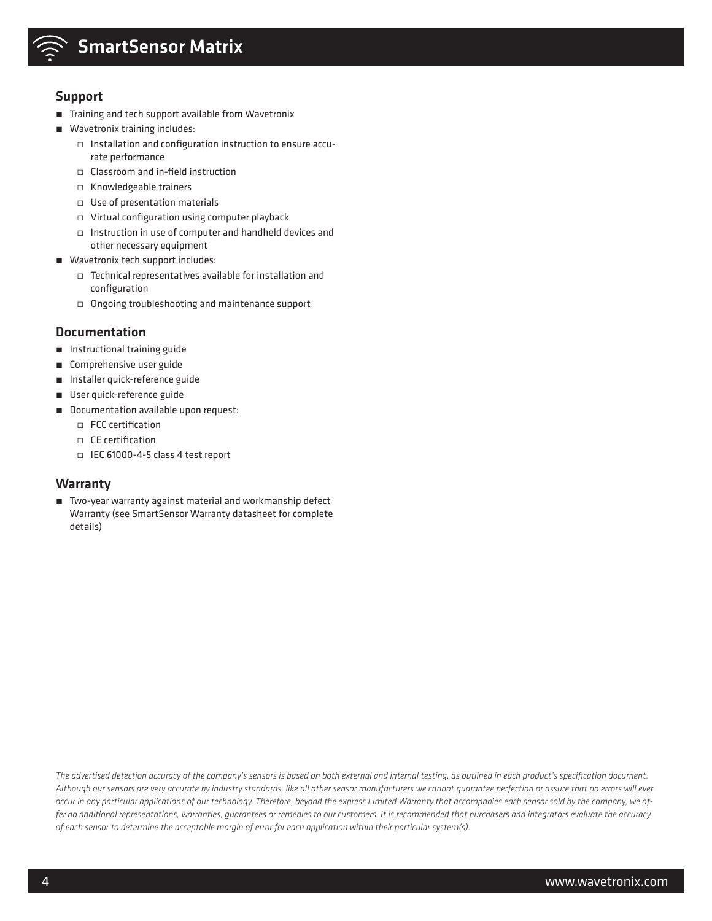

# SmartSensor Matrix

#### Support

- Training and tech support available from Wavetronix
- Wavetronix training includes:
	- ̀ Installation and configuration instruction to ensure accurate performance
	- ̀ Classroom and in-field instruction
	- ̀ Knowledgeable trainers
	- $\Box$  Use of presentation materials
	- ̀ Virtual configuration using computer playback
	- ̀ Instruction in use of computer and handheld devices and other necessary equipment
- Wavetronix tech support includes:
	- ̀ Technical representatives available for installation and configuration
	- ̀ Ongoing troubleshooting and maintenance support

#### Documentation

- Instructional training guide
- Comprehensive user guide
- Installer quick-reference guide
- User quick-reference guide
- Documentation available upon request:
	- ̀ FCC certification
	- ̀ CE certification
	- ̀ IEC 61000-4-5 class 4 test report

#### Warranty

■ Two-year warranty against material and workmanship defect Warranty (see SmartSensor Warranty datasheet for complete details)

*The advertised detection accuracy of the company's sensors is based on both external and internal testing, as outlined in each product's specification document. Although our sensors are very accurate by industry standards, like all other sensor manufacturers we cannot guarantee perfection or assure that no errors will ever occur in any particular applications of our technology. Therefore, beyond the express Limited Warranty that accompanies each sensor sold by the company, we offer no additional representations, warranties, guarantees or remedies to our customers. It is recommended that purchasers and integrators evaluate the accuracy of each sensor to determine the acceptable margin of error for each application within their particular system(s).*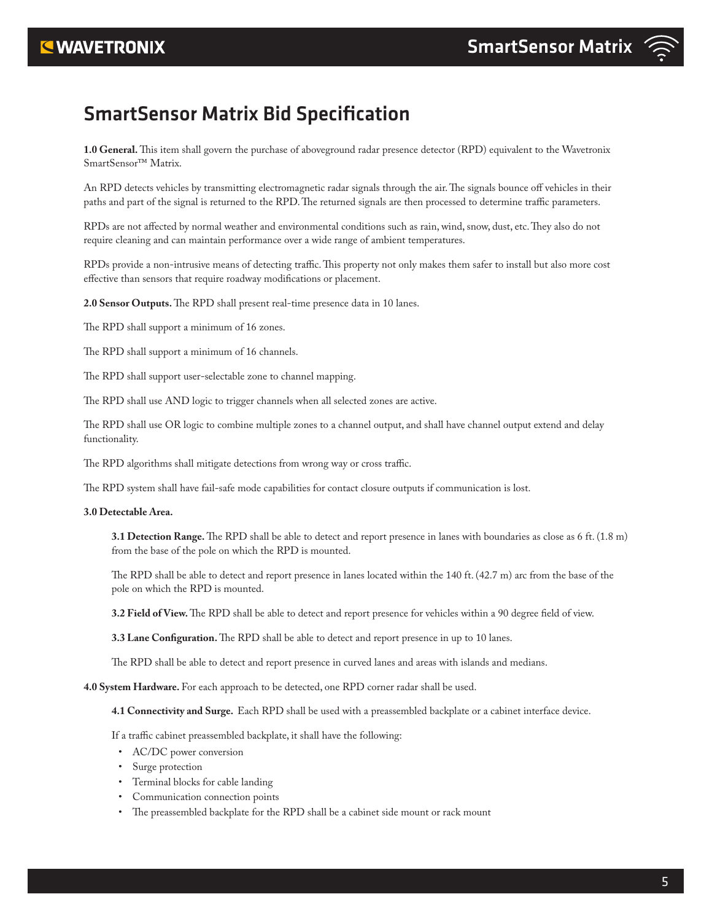# SmartSensor Matrix Bid Specification

**1.0 General.** This item shall govern the purchase of aboveground radar presence detector (RPD) equivalent to the Wavetronix SmartSensor™ Matrix.

An RPD detects vehicles by transmitting electromagnetic radar signals through the air. The signals bounce off vehicles in their paths and part of the signal is returned to the RPD. The returned signals are then processed to determine traffic parameters.

RPDs are not affected by normal weather and environmental conditions such as rain, wind, snow, dust, etc. They also do not require cleaning and can maintain performance over a wide range of ambient temperatures.

RPDs provide a non-intrusive means of detecting traffic. This property not only makes them safer to install but also more cost effective than sensors that require roadway modifications or placement.

**2.0 Sensor Outputs.** The RPD shall present real-time presence data in 10 lanes.

The RPD shall support a minimum of 16 zones.

The RPD shall support a minimum of 16 channels.

The RPD shall support user-selectable zone to channel mapping.

The RPD shall use AND logic to trigger channels when all selected zones are active.

The RPD shall use OR logic to combine multiple zones to a channel output, and shall have channel output extend and delay functionality.

The RPD algorithms shall mitigate detections from wrong way or cross traffic.

The RPD system shall have fail-safe mode capabilities for contact closure outputs if communication is lost.

#### **3.0 Detectable Area.**

**3.1 Detection Range.** The RPD shall be able to detect and report presence in lanes with boundaries as close as 6 ft. (1.8 m) from the base of the pole on which the RPD is mounted.

The RPD shall be able to detect and report presence in lanes located within the 140 ft. (42.7 m) arc from the base of the pole on which the RPD is mounted.

**3.2 Field of View.** The RPD shall be able to detect and report presence for vehicles within a 90 degree field of view.

**3.3 Lane Configuration.** The RPD shall be able to detect and report presence in up to 10 lanes.

The RPD shall be able to detect and report presence in curved lanes and areas with islands and medians.

**4.0 System Hardware.** For each approach to be detected, one RPD corner radar shall be used.

**4.1 Connectivity and Surge.** Each RPD shall be used with a preassembled backplate or a cabinet interface device.

If a traffic cabinet preassembled backplate, it shall have the following:

- AC/DC power conversion
- Surge protection
- Terminal blocks for cable landing
- Communication connection points
- The preassembled backplate for the RPD shall be a cabinet side mount or rack mount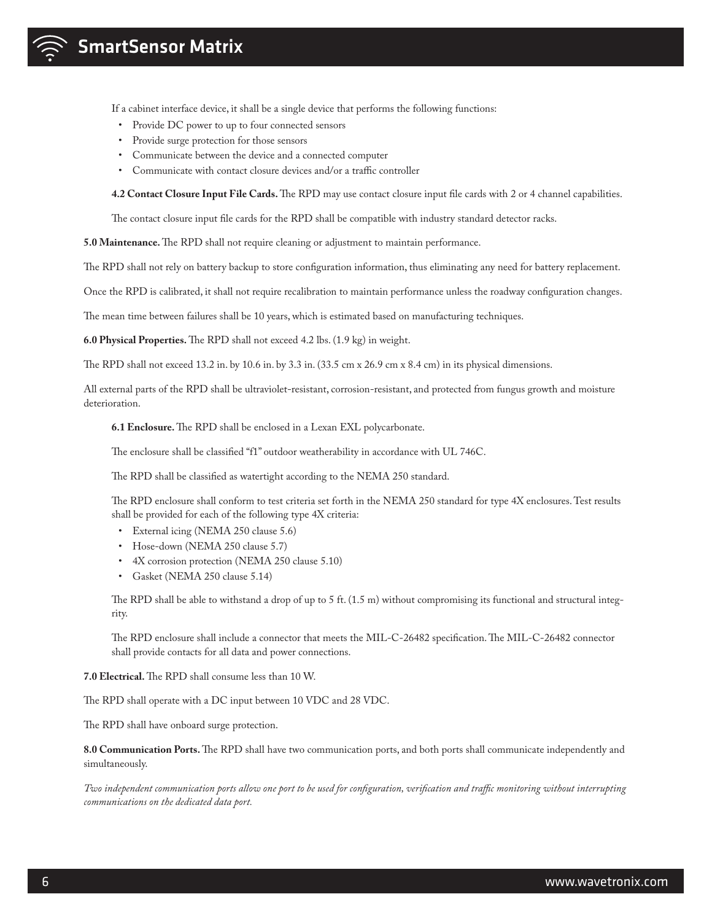If a cabinet interface device, it shall be a single device that performs the following functions:

- Provide DC power to up to four connected sensors
- Provide surge protection for those sensors
- Communicate between the device and a connected computer
- Communicate with contact closure devices and/or a traffic controller

**4.2 Contact Closure Input File Cards.** The RPD may use contact closure input file cards with 2 or 4 channel capabilities.

The contact closure input file cards for the RPD shall be compatible with industry standard detector racks.

**5.0 Maintenance.** The RPD shall not require cleaning or adjustment to maintain performance.

The RPD shall not rely on battery backup to store configuration information, thus eliminating any need for battery replacement.

Once the RPD is calibrated, it shall not require recalibration to maintain performance unless the roadway configuration changes.

The mean time between failures shall be 10 years, which is estimated based on manufacturing techniques.

**6.0 Physical Properties.** The RPD shall not exceed 4.2 lbs. (1.9 kg) in weight.

The RPD shall not exceed 13.2 in. by 10.6 in. by 3.3 in. (33.5 cm x 26.9 cm x 8.4 cm) in its physical dimensions.

All external parts of the RPD shall be ultraviolet-resistant, corrosion-resistant, and protected from fungus growth and moisture deterioration.

**6.1 Enclosure.** The RPD shall be enclosed in a Lexan EXL polycarbonate.

The enclosure shall be classified "f1" outdoor weatherability in accordance with UL 746C.

The RPD shall be classified as watertight according to the NEMA 250 standard.

The RPD enclosure shall conform to test criteria set forth in the NEMA 250 standard for type 4X enclosures. Test results shall be provided for each of the following type 4X criteria:

- External icing (NEMA 250 clause 5.6)
- Hose-down (NEMA 250 clause 5.7)
- 4X corrosion protection (NEMA 250 clause 5.10)
- Gasket (NEMA 250 clause 5.14)

The RPD shall be able to withstand a drop of up to 5 ft. (1.5 m) without compromising its functional and structural integrity.

The RPD enclosure shall include a connector that meets the MIL-C-26482 specification. The MIL-C-26482 connector shall provide contacts for all data and power connections.

**7.0 Electrical.** The RPD shall consume less than 10 W.

The RPD shall operate with a DC input between 10 VDC and 28 VDC.

The RPD shall have onboard surge protection.

**8.0 Communication Ports.** The RPD shall have two communication ports, and both ports shall communicate independently and simultaneously.

*Two independent communication ports allow one port to be used for configuration, verification and traffic monitoring without interrupting communications on the dedicated data port.*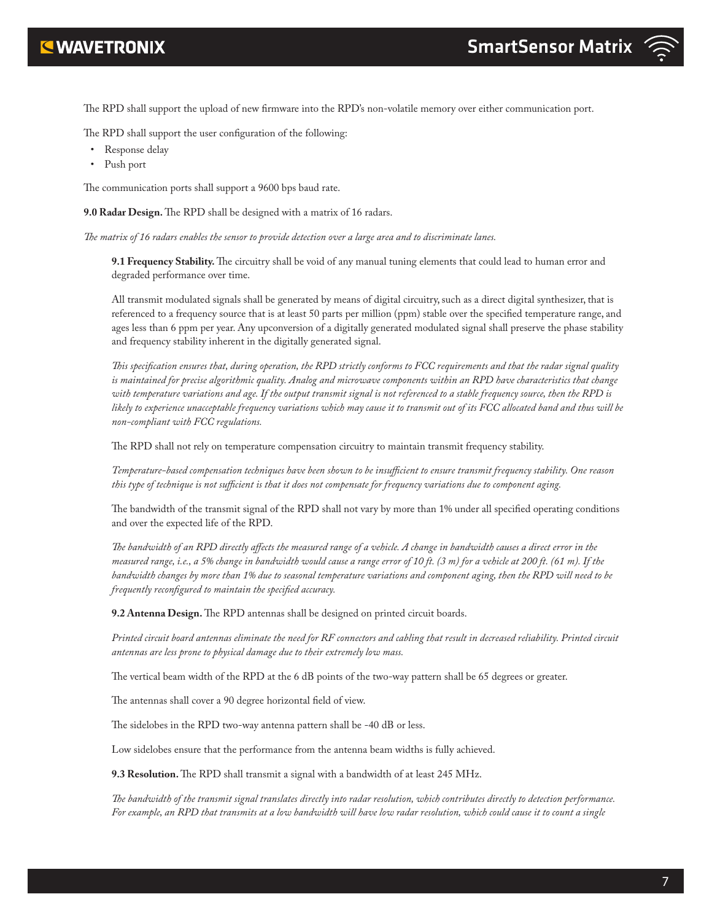

- The RPD shall support the user configuration of the following:
- Response delay
- Push port

The communication ports shall support a 9600 bps baud rate.

**9.0 Radar Design.** The RPD shall be designed with a matrix of 16 radars.

*The matrix of 16 radars enables the sensor to provide detection over a large area and to discriminate lanes.*

**9.1 Frequency Stability.** The circuitry shall be void of any manual tuning elements that could lead to human error and degraded performance over time.

All transmit modulated signals shall be generated by means of digital circuitry, such as a direct digital synthesizer, that is referenced to a frequency source that is at least 50 parts per million (ppm) stable over the specified temperature range, and ages less than 6 ppm per year. Any upconversion of a digitally generated modulated signal shall preserve the phase stability and frequency stability inherent in the digitally generated signal.

*This specification ensures that, during operation, the RPD strictly conforms to FCC requirements and that the radar signal quality is maintained for precise algorithmic quality. Analog and microwave components within an RPD have characteristics that change with temperature variations and age. If the output transmit signal is not referenced to a stable frequency source, then the RPD is likely to experience unacceptable frequency variations which may cause it to transmit out of its FCC allocated band and thus will be non-compliant with FCC regulations.*

The RPD shall not rely on temperature compensation circuitry to maintain transmit frequency stability.

*Temperature-based compensation techniques have been shown to be insufficient to ensure transmit frequency stability. One reason this type of technique is not sufficient is that it does not compensate for frequency variations due to component aging.* 

The bandwidth of the transmit signal of the RPD shall not vary by more than 1% under all specified operating conditions and over the expected life of the RPD.

*The bandwidth of an RPD directly affects the measured range of a vehicle. A change in bandwidth causes a direct error in the measured range, i.e., a 5% change in bandwidth would cause a range error of 10 ft. (3 m) for a vehicle at 200 ft. (61 m). If the bandwidth changes by more than 1% due to seasonal temperature variations and component aging, then the RPD will need to be frequently reconfigured to maintain the specified accuracy.*

**9.2 Antenna Design.** The RPD antennas shall be designed on printed circuit boards.

*Printed circuit board antennas eliminate the need for RF connectors and cabling that result in decreased reliability. Printed circuit antennas are less prone to physical damage due to their extremely low mass.*

The vertical beam width of the RPD at the 6 dB points of the two-way pattern shall be 65 degrees or greater.

The antennas shall cover a 90 degree horizontal field of view.

The sidelobes in the RPD two-way antenna pattern shall be -40 dB or less.

Low sidelobes ensure that the performance from the antenna beam widths is fully achieved.

**9.3 Resolution.** The RPD shall transmit a signal with a bandwidth of at least 245 MHz.

*The bandwidth of the transmit signal translates directly into radar resolution, which contributes directly to detection performance. For example, an RPD that transmits at a low bandwidth will have low radar resolution, which could cause it to count a single*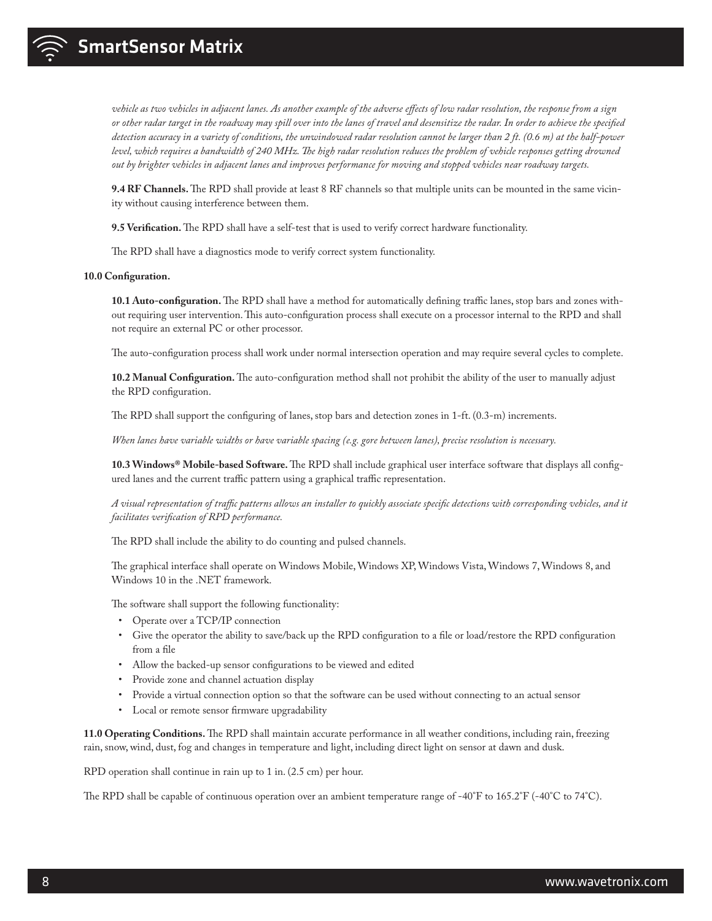

*vehicle as two vehicles in adjacent lanes. As another example of the adverse effects of low radar resolution, the response from a sign or other radar target in the roadway may spill over into the lanes of travel and desensitize the radar. In order to achieve the specified detection accuracy in a variety of conditions, the unwindowed radar resolution cannot be larger than 2 ft. (0.6 m) at the half-power level, which requires a bandwidth of 240 MHz. The high radar resolution reduces the problem of vehicle responses getting drowned out by brighter vehicles in adjacent lanes and improves performance for moving and stopped vehicles near roadway targets.*

**9.4 RF Channels.** The RPD shall provide at least 8 RF channels so that multiple units can be mounted in the same vicinity without causing interference between them.

**9.5 Verification.** The RPD shall have a self-test that is used to verify correct hardware functionality.

The RPD shall have a diagnostics mode to verify correct system functionality.

#### **10.0 Configuration.**

**10.1 Auto-configuration.** The RPD shall have a method for automatically defining traffic lanes, stop bars and zones without requiring user intervention. This auto-configuration process shall execute on a processor internal to the RPD and shall not require an external PC or other processor.

The auto-configuration process shall work under normal intersection operation and may require several cycles to complete.

**10.2 Manual Configuration.** The auto-configuration method shall not prohibit the ability of the user to manually adjust the RPD configuration.

The RPD shall support the configuring of lanes, stop bars and detection zones in 1-ft. (0.3-m) increments.

*When lanes have variable widths or have variable spacing (e.g. gore between lanes), precise resolution is necessary.*

**10.3 Windows® Mobile-based Software.** The RPD shall include graphical user interface software that displays all configured lanes and the current traffic pattern using a graphical traffic representation.

*A visual representation of traffic patterns allows an installer to quickly associate specific detections with corresponding vehicles, and it facilitates verification of RPD performance.*

The RPD shall include the ability to do counting and pulsed channels.

The graphical interface shall operate on Windows Mobile, Windows XP, Windows Vista, Windows 7, Windows 8, and Windows 10 in the .NET framework.

The software shall support the following functionality:

- Operate over a TCP/IP connection
- Give the operator the ability to save/back up the RPD configuration to a file or load/restore the RPD configuration from a file
- Allow the backed-up sensor configurations to be viewed and edited
- Provide zone and channel actuation display
- Provide a virtual connection option so that the software can be used without connecting to an actual sensor
- Local or remote sensor firmware upgradability

**11.0 Operating Conditions.** The RPD shall maintain accurate performance in all weather conditions, including rain, freezing rain, snow, wind, dust, fog and changes in temperature and light, including direct light on sensor at dawn and dusk.

RPD operation shall continue in rain up to 1 in. (2.5 cm) per hour.

The RPD shall be capable of continuous operation over an ambient temperature range of -40°F to 165.2°F (-40°C to 74°C).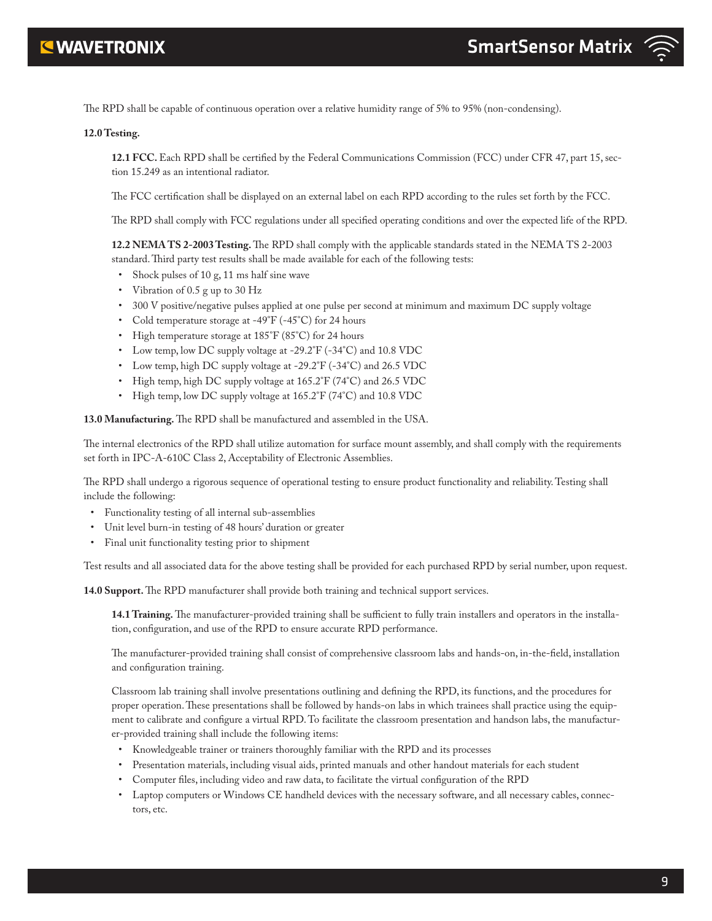

The RPD shall be capable of continuous operation over a relative humidity range of 5% to 95% (non-condensing).

#### **12.0 Testing.**

**12.1 FCC.** Each RPD shall be certified by the Federal Communications Commission (FCC) under CFR 47, part 15, section 15.249 as an intentional radiator.

The FCC certification shall be displayed on an external label on each RPD according to the rules set forth by the FCC.

The RPD shall comply with FCC regulations under all specified operating conditions and over the expected life of the RPD.

**12.2 NEMA TS 2-2003 Testing.** The RPD shall comply with the applicable standards stated in the NEMA TS 2-2003 standard. Third party test results shall be made available for each of the following tests:

- Shock pulses of 10 g, 11 ms half sine wave
- Vibration of 0.5 g up to 30 Hz
- 300 V positive/negative pulses applied at one pulse per second at minimum and maximum DC supply voltage
- Cold temperature storage at -49°F (-45°C) for 24 hours
- High temperature storage at 185°F (85°C) for 24 hours
- Low temp, low DC supply voltage at -29.2°F (-34°C) and 10.8 VDC
- Low temp, high DC supply voltage at  $-29.2^{\circ}F(-34^{\circ}C)$  and 26.5 VDC
- High temp, high DC supply voltage at 165.2°F (74°C) and 26.5 VDC
- High temp, low DC supply voltage at 165.2°F (74°C) and 10.8 VDC

**13.0 Manufacturing.** The RPD shall be manufactured and assembled in the USA.

The internal electronics of the RPD shall utilize automation for surface mount assembly, and shall comply with the requirements set forth in IPC-A-610C Class 2, Acceptability of Electronic Assemblies.

The RPD shall undergo a rigorous sequence of operational testing to ensure product functionality and reliability. Testing shall include the following:

- Functionality testing of all internal sub-assemblies
- Unit level burn-in testing of 48 hours' duration or greater
- Final unit functionality testing prior to shipment

Test results and all associated data for the above testing shall be provided for each purchased RPD by serial number, upon request.

**14.0 Support.** The RPD manufacturer shall provide both training and technical support services.

**14.1 Training.** The manufacturer-provided training shall be sufficient to fully train installers and operators in the installation, configuration, and use of the RPD to ensure accurate RPD performance.

The manufacturer-provided training shall consist of comprehensive classroom labs and hands-on, in-the-field, installation and configuration training.

Classroom lab training shall involve presentations outlining and defining the RPD, its functions, and the procedures for proper operation. These presentations shall be followed by hands-on labs in which trainees shall practice using the equipment to calibrate and configure a virtual RPD. To facilitate the classroom presentation and handson labs, the manufacturer-provided training shall include the following items:

- Knowledgeable trainer or trainers thoroughly familiar with the RPD and its processes
- Presentation materials, including visual aids, printed manuals and other handout materials for each student
- Computer files, including video and raw data, to facilitate the virtual configuration of the RPD
- Laptop computers or Windows CE handheld devices with the necessary software, and all necessary cables, connectors, etc.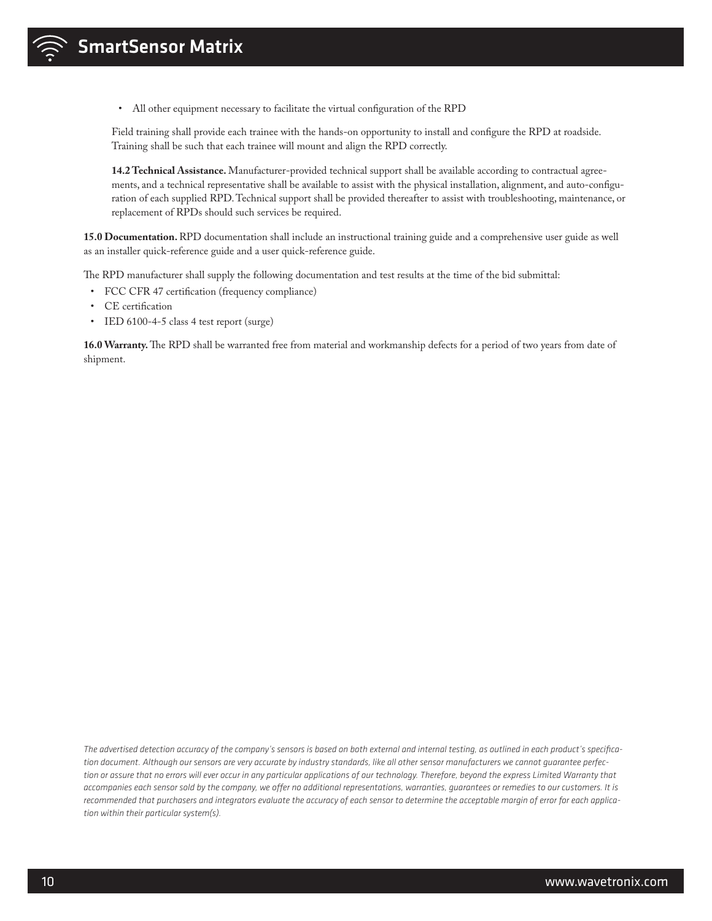• All other equipment necessary to facilitate the virtual configuration of the RPD

Field training shall provide each trainee with the hands-on opportunity to install and configure the RPD at roadside. Training shall be such that each trainee will mount and align the RPD correctly.

**14.2 Technical Assistance.** Manufacturer-provided technical support shall be available according to contractual agreements, and a technical representative shall be available to assist with the physical installation, alignment, and auto-configuration of each supplied RPD. Technical support shall be provided thereafter to assist with troubleshooting, maintenance, or replacement of RPDs should such services be required.

**15.0 Documentation.** RPD documentation shall include an instructional training guide and a comprehensive user guide as well as an installer quick-reference guide and a user quick-reference guide.

The RPD manufacturer shall supply the following documentation and test results at the time of the bid submittal:

- FCC CFR 47 certification (frequency compliance)
- CE certification
- IED 6100-4-5 class 4 test report (surge)

**16.0 Warranty.** The RPD shall be warranted free from material and workmanship defects for a period of two years from date of shipment.

*The advertised detection accuracy of the company's sensors is based on both external and internal testing, as outlined in each product's specification document. Although our sensors are very accurate by industry standards, like all other sensor manufacturers we cannot guarantee perfection or assure that no errors will ever occur in any particular applications of our technology. Therefore, beyond the express Limited Warranty that accompanies each sensor sold by the company, we offer no additional representations, warranties, guarantees or remedies to our customers. It is recommended that purchasers and integrators evaluate the accuracy of each sensor to determine the acceptable margin of error for each application within their particular system(s).*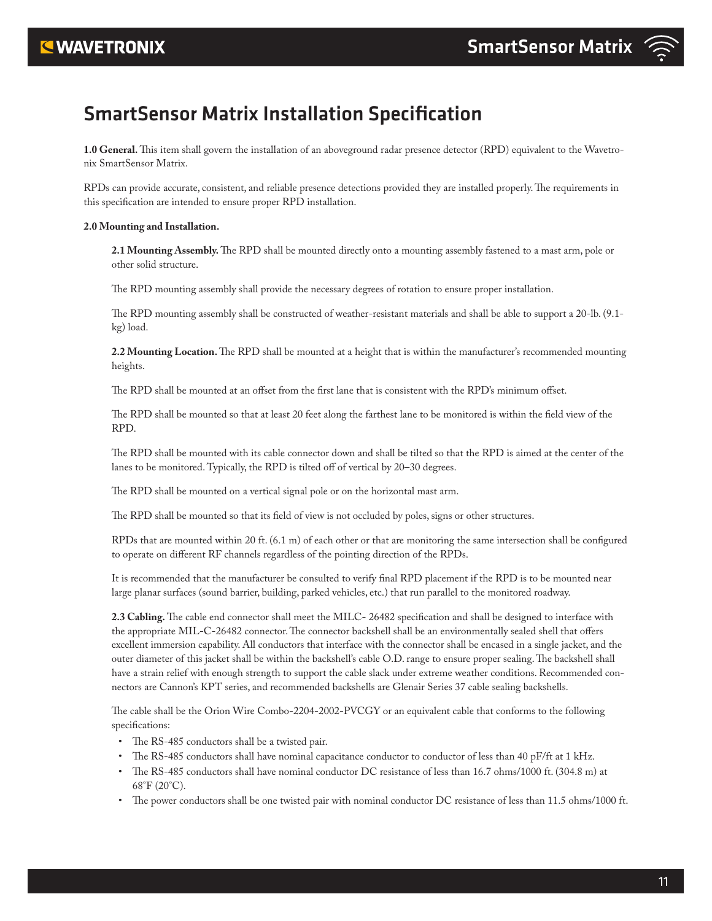## **EWAVETRONIX**

# SmartSensor Matrix Installation Specification

**1.0 General.** This item shall govern the installation of an aboveground radar presence detector (RPD) equivalent to the Wavetronix SmartSensor Matrix.

RPDs can provide accurate, consistent, and reliable presence detections provided they are installed properly. The requirements in this specification are intended to ensure proper RPD installation.

#### **2.0 Mounting and Installation.**

**2.1 Mounting Assembly.** The RPD shall be mounted directly onto a mounting assembly fastened to a mast arm, pole or other solid structure.

The RPD mounting assembly shall provide the necessary degrees of rotation to ensure proper installation.

The RPD mounting assembly shall be constructed of weather-resistant materials and shall be able to support a 20-lb. (9.1 kg) load.

**2.2 Mounting Location.** The RPD shall be mounted at a height that is within the manufacturer's recommended mounting heights.

The RPD shall be mounted at an offset from the first lane that is consistent with the RPD's minimum offset.

The RPD shall be mounted so that at least 20 feet along the farthest lane to be monitored is within the field view of the RPD.

The RPD shall be mounted with its cable connector down and shall be tilted so that the RPD is aimed at the center of the lanes to be monitored. Typically, the RPD is tilted off of vertical by 20–30 degrees.

The RPD shall be mounted on a vertical signal pole or on the horizontal mast arm.

The RPD shall be mounted so that its field of view is not occluded by poles, signs or other structures.

RPDs that are mounted within 20 ft. (6.1 m) of each other or that are monitoring the same intersection shall be configured to operate on different RF channels regardless of the pointing direction of the RPDs.

It is recommended that the manufacturer be consulted to verify final RPD placement if the RPD is to be mounted near large planar surfaces (sound barrier, building, parked vehicles, etc.) that run parallel to the monitored roadway.

**2.3 Cabling.** The cable end connector shall meet the MILC- 26482 specification and shall be designed to interface with the appropriate MIL-C-26482 connector. The connector backshell shall be an environmentally sealed shell that offers excellent immersion capability. All conductors that interface with the connector shall be encased in a single jacket, and the outer diameter of this jacket shall be within the backshell's cable O.D. range to ensure proper sealing. The backshell shall have a strain relief with enough strength to support the cable slack under extreme weather conditions. Recommended connectors are Cannon's KPT series, and recommended backshells are Glenair Series 37 cable sealing backshells.

The cable shall be the Orion Wire Combo-2204-2002-PVCGY or an equivalent cable that conforms to the following specifications:

- The RS-485 conductors shall be a twisted pair.
- The RS-485 conductors shall have nominal capacitance conductor to conductor of less than 40 pF/ft at 1 kHz.
- The RS-485 conductors shall have nominal conductor DC resistance of less than 16.7 ohms/1000 ft. (304.8 m) at  $68^{\circ}$ F (20 $^{\circ}$ C).
- The power conductors shall be one twisted pair with nominal conductor DC resistance of less than 11.5 ohms/1000 ft.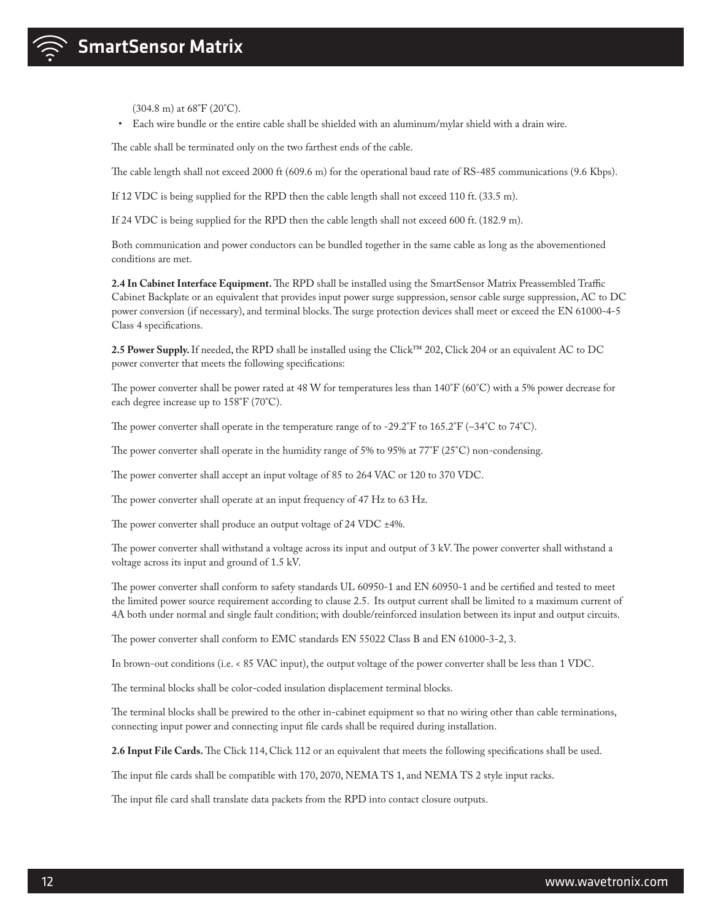

(304.8 m) at 68°F (20°C).

• Each wire bundle or the entire cable shall be shielded with an aluminum/mylar shield with a drain wire.

The cable shall be terminated only on the two farthest ends of the cable.

The cable length shall not exceed 2000 ft (609.6 m) for the operational baud rate of RS-485 communications (9.6 Kbps).

If 12 VDC is being supplied for the RPD then the cable length shall not exceed 110 ft. (33.5 m).

If 24 VDC is being supplied for the RPD then the cable length shall not exceed 600 ft. (182.9 m).

Both communication and power conductors can be bundled together in the same cable as long as the abovementioned conditions are met.

**2.4 In Cabinet Interface Equipment.** The RPD shall be installed using the SmartSensor Matrix Preassembled Traffic Cabinet Backplate or an equivalent that provides input power surge suppression, sensor cable surge suppression, AC to DC power conversion (if necessary), and terminal blocks. The surge protection devices shall meet or exceed the EN 61000-4-5 Class 4 specifications.

**2.5 Power Supply.** If needed, the RPD shall be installed using the Click™ 202, Click 204 or an equivalent AC to DC power converter that meets the following specifications:

The power converter shall be power rated at 48 W for temperatures less than 140°F (60°C) with a 5% power decrease for each degree increase up to 158°F (70°C).

The power converter shall operate in the temperature range of to -29.2°F to  $165.2$ °F ( $-34$ °C to  $74$ °C).

The power converter shall operate in the humidity range of 5% to 95% at 77°F (25°C) non-condensing.

The power converter shall accept an input voltage of 85 to 264 VAC or 120 to 370 VDC.

The power converter shall operate at an input frequency of 47 Hz to 63 Hz.

The power converter shall produce an output voltage of 24 VDC ±4%.

The power converter shall withstand a voltage across its input and output of 3 kV. The power converter shall withstand a voltage across its input and ground of 1.5 kV.

The power converter shall conform to safety standards UL 60950-1 and EN 60950-1 and be certified and tested to meet the limited power source requirement according to clause 2.5. Its output current shall be limited to a maximum current of 4A both under normal and single fault condition; with double/reinforced insulation between its input and output circuits.

The power converter shall conform to EMC standards EN 55022 Class B and EN 61000-3-2, 3.

In brown-out conditions (i.e. < 85 VAC input), the output voltage of the power converter shall be less than 1 VDC.

The terminal blocks shall be color-coded insulation displacement terminal blocks.

The terminal blocks shall be prewired to the other in-cabinet equipment so that no wiring other than cable terminations, connecting input power and connecting input file cards shall be required during installation.

**2.6 Input File Cards.** The Click 114, Click 112 or an equivalent that meets the following specifications shall be used.

The input file cards shall be compatible with 170, 2070, NEMA TS 1, and NEMA TS 2 style input racks.

The input file card shall translate data packets from the RPD into contact closure outputs.